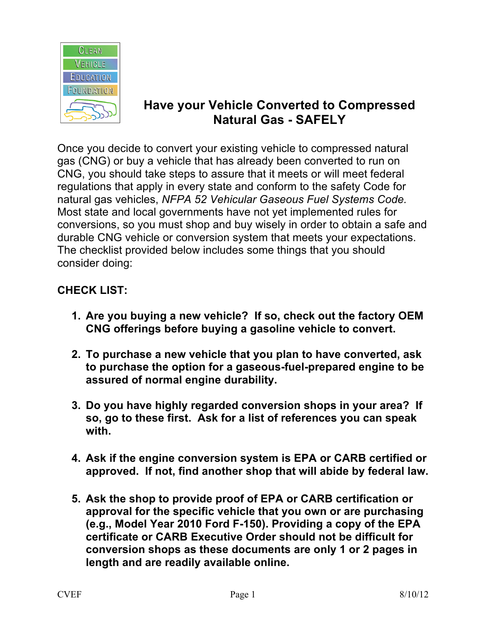

## **Have your Vehicle Converted to Compressed Natural Gas - SAFELY**

Once you decide to convert your existing vehicle to compressed natural gas (CNG) or buy a vehicle that has already been converted to run on CNG, you should take steps to assure that it meets or will meet federal regulations that apply in every state and conform to the safety Code for natural gas vehicles, *NFPA 52 Vehicular Gaseous Fuel Systems Code.* Most state and local governments have not yet implemented rules for conversions, so you must shop and buy wisely in order to obtain a safe and durable CNG vehicle or conversion system that meets your expectations. The checklist provided below includes some things that you should consider doing:

## **CHECK LIST:**

- **1. Are you buying a new vehicle? If so, check out the factory OEM CNG offerings before buying a gasoline vehicle to convert.**
- **2. To purchase a new vehicle that you plan to have converted, ask to purchase the option for a gaseous-fuel-prepared engine to be assured of normal engine durability.**
- **3. Do you have highly regarded conversion shops in your area? If so, go to these first. Ask for a list of references you can speak with.**
- **4. Ask if the engine conversion system is EPA or CARB certified or approved. If not, find another shop that will abide by federal law.**
- **5. Ask the shop to provide proof of EPA or CARB certification or approval for the specific vehicle that you own or are purchasing (e.g., Model Year 2010 Ford F-150). Providing a copy of the EPA certificate or CARB Executive Order should not be difficult for conversion shops as these documents are only 1 or 2 pages in length and are readily available online.**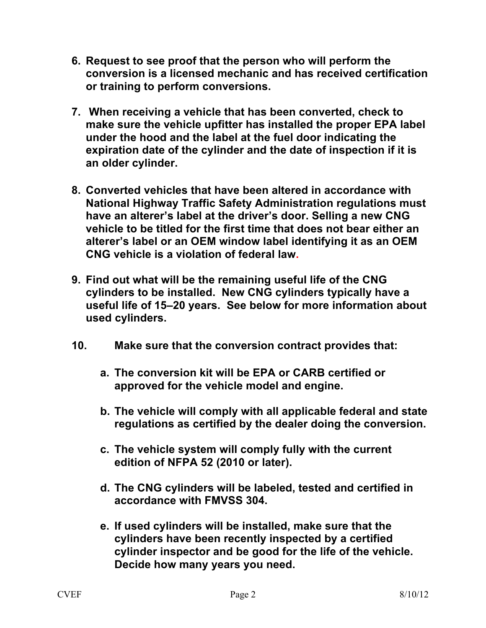- **6. Request to see proof that the person who will perform the conversion is a licensed mechanic and has received certification or training to perform conversions.**
- **7. When receiving a vehicle that has been converted, check to make sure the vehicle upfitter has installed the proper EPA label under the hood and the label at the fuel door indicating the expiration date of the cylinder and the date of inspection if it is an older cylinder.**
- **8. Converted vehicles that have been altered in accordance with National Highway Traffic Safety Administration regulations must have an alterer's label at the driver's door. Selling a new CNG vehicle to be titled for the first time that does not bear either an alterer's label or an OEM window label identifying it as an OEM CNG vehicle is a violation of federal law.**
- **9. Find out what will be the remaining useful life of the CNG cylinders to be installed. New CNG cylinders typically have a useful life of 15–20 years. See below for more information about used cylinders.**
- **10. Make sure that the conversion contract provides that:**
	- **a. The conversion kit will be EPA or CARB certified or approved for the vehicle model and engine.**
	- **b. The vehicle will comply with all applicable federal and state regulations as certified by the dealer doing the conversion.**
	- **c. The vehicle system will comply fully with the current edition of NFPA 52 (2010 or later).**
	- **d. The CNG cylinders will be labeled, tested and certified in accordance with FMVSS 304.**
	- **e. If used cylinders will be installed, make sure that the cylinders have been recently inspected by a certified cylinder inspector and be good for the life of the vehicle. Decide how many years you need.**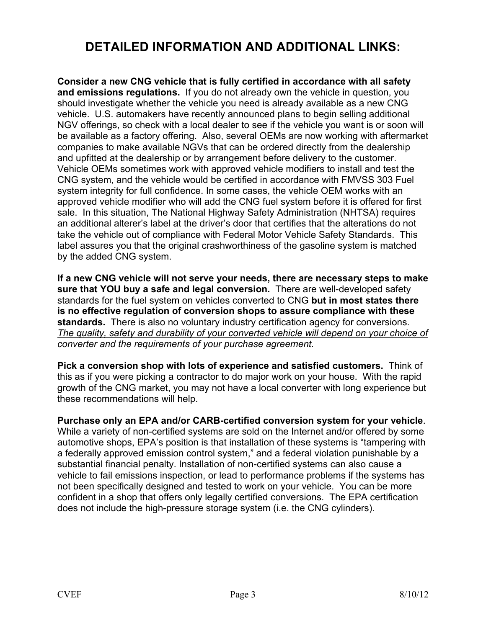## **DETAILED INFORMATION AND ADDITIONAL LINKS:**

**Consider a new CNG vehicle that is fully certified in accordance with all safety and emissions regulations.** If you do not already own the vehicle in question, you should investigate whether the vehicle you need is already available as a new CNG vehicle. U.S. automakers have recently announced plans to begin selling additional NGV offerings, so check with a local dealer to see if the vehicle you want is or soon will be available as a factory offering. Also, several OEMs are now working with aftermarket companies to make available NGVs that can be ordered directly from the dealership and upfitted at the dealership or by arrangement before delivery to the customer. Vehicle OEMs sometimes work with approved vehicle modifiers to install and test the CNG system, and the vehicle would be certified in accordance with FMVSS 303 Fuel system integrity for full confidence. In some cases, the vehicle OEM works with an approved vehicle modifier who will add the CNG fuel system before it is offered for first sale. In this situation, The National Highway Safety Administration (NHTSA) requires an additional alterer's label at the driver's door that certifies that the alterations do not take the vehicle out of compliance with Federal Motor Vehicle Safety Standards. This label assures you that the original crashworthiness of the gasoline system is matched by the added CNG system.

**If a new CNG vehicle will not serve your needs, there are necessary steps to make sure that YOU buy a safe and legal conversion.** There are well-developed safety standards for the fuel system on vehicles converted to CNG **but in most states there is no effective regulation of conversion shops to assure compliance with these standards.** There is also no voluntary industry certification agency for conversions. *The quality, safety and durability of your converted vehicle will depend on your choice of converter and the requirements of your purchase agreement.*

**Pick a conversion shop with lots of experience and satisfied customers.** Think of this as if you were picking a contractor to do major work on your house. With the rapid growth of the CNG market, you may not have a local converter with long experience but these recommendations will help.

**Purchase only an EPA and/or CARB-certified conversion system for your vehicle**. While a variety of non-certified systems are sold on the Internet and/or offered by some automotive shops, EPA's position is that installation of these systems is "tampering with a federally approved emission control system," and a federal violation punishable by a substantial financial penalty. Installation of non-certified systems can also cause a vehicle to fail emissions inspection, or lead to performance problems if the systems has not been specifically designed and tested to work on your vehicle. You can be more confident in a shop that offers only legally certified conversions. The EPA certification does not include the high-pressure storage system (i.e. the CNG cylinders).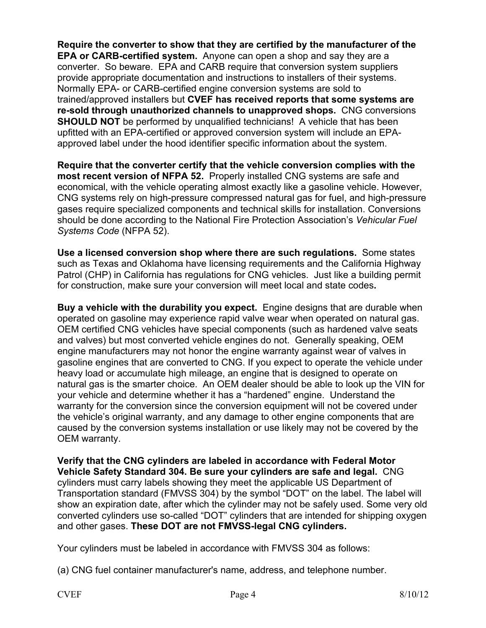**Require the converter to show that they are certified by the manufacturer of the EPA or CARB-certified system.** Anyone can open a shop and say they are a converter. So beware. EPA and CARB require that conversion system suppliers provide appropriate documentation and instructions to installers of their systems. Normally EPA- or CARB-certified engine conversion systems are sold to trained/approved installers but **CVEF has received reports that some systems are re-sold through unauthorized channels to unapproved shops.** CNG conversions **SHOULD NOT** be performed by unqualified technicians! A vehicle that has been upfitted with an EPA-certified or approved conversion system will include an EPAapproved label under the hood identifier specific information about the system.

**Require that the converter certify that the vehicle conversion complies with the most recent version of NFPA 52.** Properly installed CNG systems are safe and economical, with the vehicle operating almost exactly like a gasoline vehicle. However, CNG systems rely on high-pressure compressed natural gas for fuel, and high-pressure gases require specialized components and technical skills for installation. Conversions should be done according to the National Fire Protection Association's *Vehicular Fuel Systems Code* (NFPA 52).

**Use a licensed conversion shop where there are such regulations.** Some states such as Texas and Oklahoma have licensing requirements and the California Highway Patrol (CHP) in California has regulations for CNG vehicles. Just like a building permit for construction, make sure your conversion will meet local and state codes**.**

**Buy a vehicle with the durability you expect.** Engine designs that are durable when operated on gasoline may experience rapid valve wear when operated on natural gas. OEM certified CNG vehicles have special components (such as hardened valve seats and valves) but most converted vehicle engines do not. Generally speaking, OEM engine manufacturers may not honor the engine warranty against wear of valves in gasoline engines that are converted to CNG. If you expect to operate the vehicle under heavy load or accumulate high mileage, an engine that is designed to operate on natural gas is the smarter choice. An OEM dealer should be able to look up the VIN for your vehicle and determine whether it has a "hardened" engine. Understand the warranty for the conversion since the conversion equipment will not be covered under the vehicle's original warranty, and any damage to other engine components that are caused by the conversion systems installation or use likely may not be covered by the OEM warranty.

**Verify that the CNG cylinders are labeled in accordance with Federal Motor Vehicle Safety Standard 304. Be sure your cylinders are safe and legal.** CNG cylinders must carry labels showing they meet the applicable US Department of Transportation standard (FMVSS 304) by the symbol "DOT" on the label. The label will show an expiration date, after which the cylinder may not be safely used. Some very old converted cylinders use so-called "DOT" cylinders that are intended for shipping oxygen and other gases. **These DOT are not FMVSS-legal CNG cylinders.** 

Your cylinders must be labeled in accordance with FMVSS 304 as follows:

(a) CNG fuel container manufacturer's name, address, and telephone number.